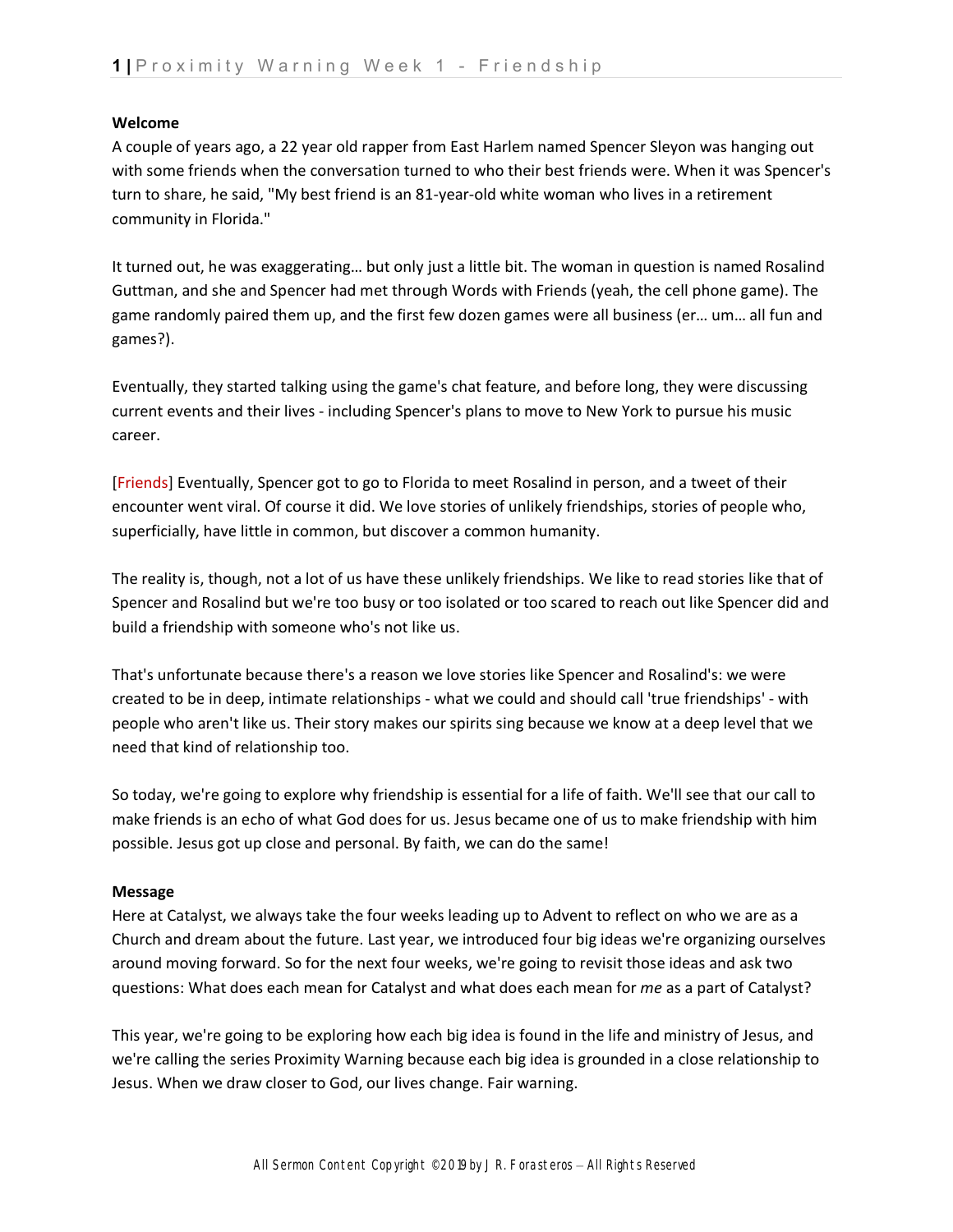## **Welcome**

A couple of years ago, a 22 year old rapper from East Harlem named Spencer Sleyon was hanging out with some friends when the conversation turned to who their best friends were. When it was Spencer's turn to share, he said, "My best friend is an 81-year-old white woman who lives in a retirement community in Florida."

It turned out, he was exaggerating… but only just a little bit. The woman in question is named Rosalind Guttman, and she and Spencer had met through Words with Friends (yeah, the cell phone game). The game randomly paired them up, and the first few dozen games were all business (er… um… all fun and games?).

Eventually, they started talking using the game's chat feature, and before long, they were discussing current events and their lives - including Spencer's plans to move to New York to pursue his music career.

[Friends] Eventually, Spencer got to go to Florida to meet Rosalind in person, and a tweet of their encounter went viral. Of course it did. We love stories of unlikely friendships, stories of people who, superficially, have little in common, but discover a common humanity.

The reality is, though, not a lot of us have these unlikely friendships. We like to read stories like that of Spencer and Rosalind but we're too busy or too isolated or too scared to reach out like Spencer did and build a friendship with someone who's not like us.

That's unfortunate because there's a reason we love stories like Spencer and Rosalind's: we were created to be in deep, intimate relationships - what we could and should call 'true friendships' - with people who aren't like us. Their story makes our spirits sing because we know at a deep level that we need that kind of relationship too.

So today, we're going to explore why friendship is essential for a life of faith. We'll see that our call to make friends is an echo of what God does for us. Jesus became one of us to make friendship with him possible. Jesus got up close and personal. By faith, we can do the same!

## **Message**

Here at Catalyst, we always take the four weeks leading up to Advent to reflect on who we are as a Church and dream about the future. Last year, we introduced four big ideas we're organizing ourselves around moving forward. So for the next four weeks, we're going to revisit those ideas and ask two questions: What does each mean for Catalyst and what does each mean for *me* as a part of Catalyst?

This year, we're going to be exploring how each big idea is found in the life and ministry of Jesus, and we're calling the series Proximity Warning because each big idea is grounded in a close relationship to Jesus. When we draw closer to God, our lives change. Fair warning.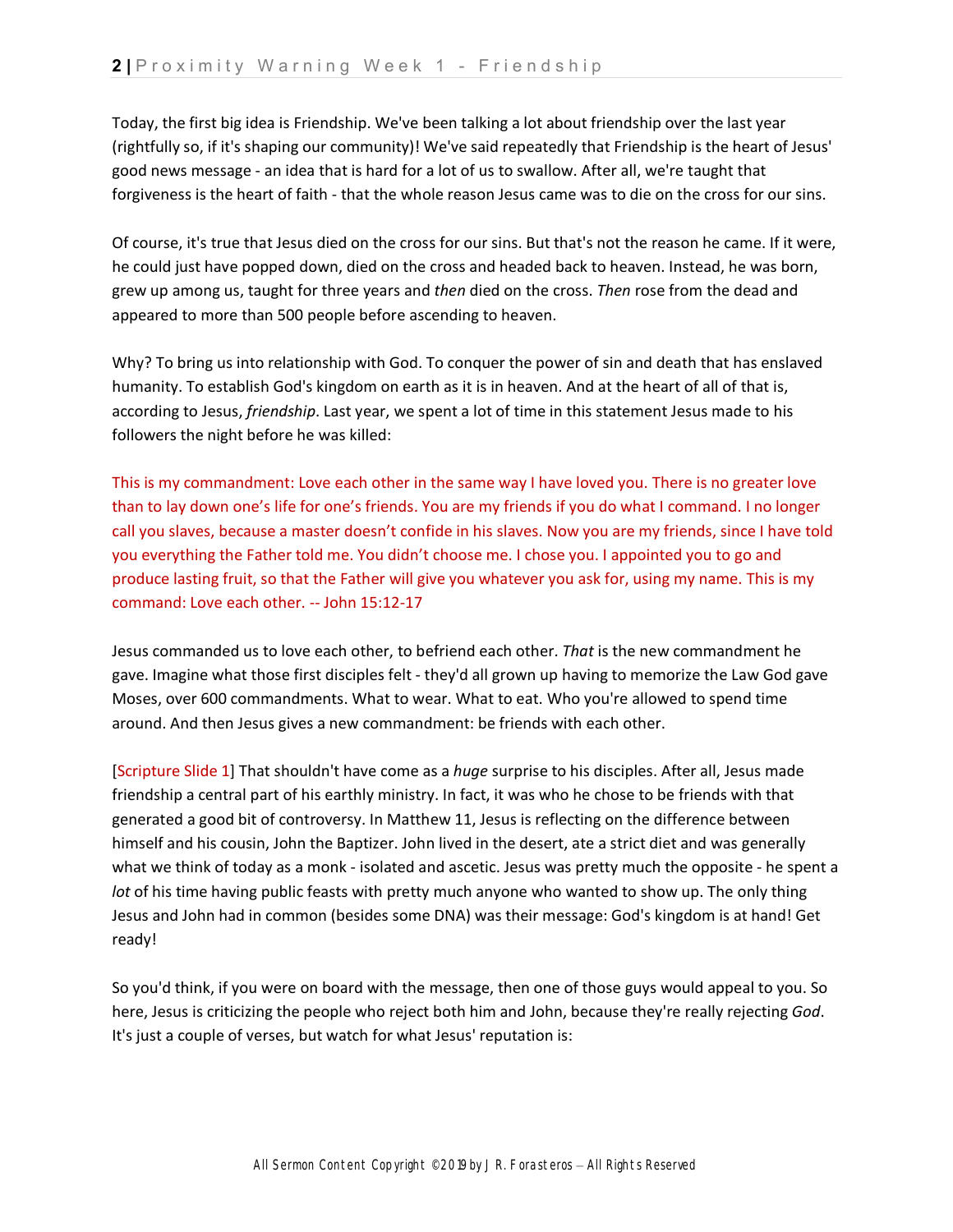Today, the first big idea is Friendship. We've been talking a lot about friendship over the last year (rightfully so, if it's shaping our community)! We've said repeatedly that Friendship is the heart of Jesus' good news message - an idea that is hard for a lot of us to swallow. After all, we're taught that forgiveness is the heart of faith - that the whole reason Jesus came was to die on the cross for our sins.

Of course, it's true that Jesus died on the cross for our sins. But that's not the reason he came. If it were, he could just have popped down, died on the cross and headed back to heaven. Instead, he was born, grew up among us, taught for three years and *then* died on the cross. *Then* rose from the dead and appeared to more than 500 people before ascending to heaven.

Why? To bring us into relationship with God. To conquer the power of sin and death that has enslaved humanity. To establish God's kingdom on earth as it is in heaven. And at the heart of all of that is, according to Jesus, *friendship*. Last year, we spent a lot of time in this statement Jesus made to his followers the night before he was killed:

This is my commandment: Love each other in the same way I have loved you. There is no greater love than to lay down one's life for one's friends. You are my friends if you do what I command. I no longer call you slaves, because a master doesn't confide in his slaves. Now you are my friends, since I have told you everything the Father told me. You didn't choose me. I chose you. I appointed you to go and produce lasting fruit, so that the Father will give you whatever you ask for, using my name. This is my command: Love each other. -- John 15:12-17

Jesus commanded us to love each other, to befriend each other. *That* is the new commandment he gave. Imagine what those first disciples felt - they'd all grown up having to memorize the Law God gave Moses, over 600 commandments. What to wear. What to eat. Who you're allowed to spend time around. And then Jesus gives a new commandment: be friends with each other.

[Scripture Slide 1] That shouldn't have come as a *huge* surprise to his disciples. After all, Jesus made friendship a central part of his earthly ministry. In fact, it was who he chose to be friends with that generated a good bit of controversy. In Matthew 11, Jesus is reflecting on the difference between himself and his cousin, John the Baptizer. John lived in the desert, ate a strict diet and was generally what we think of today as a monk - isolated and ascetic. Jesus was pretty much the opposite - he spent a *lot* of his time having public feasts with pretty much anyone who wanted to show up. The only thing Jesus and John had in common (besides some DNA) was their message: God's kingdom is at hand! Get ready!

So you'd think, if you were on board with the message, then one of those guys would appeal to you. So here, Jesus is criticizing the people who reject both him and John, because they're really rejecting *God*. It's just a couple of verses, but watch for what Jesus' reputation is: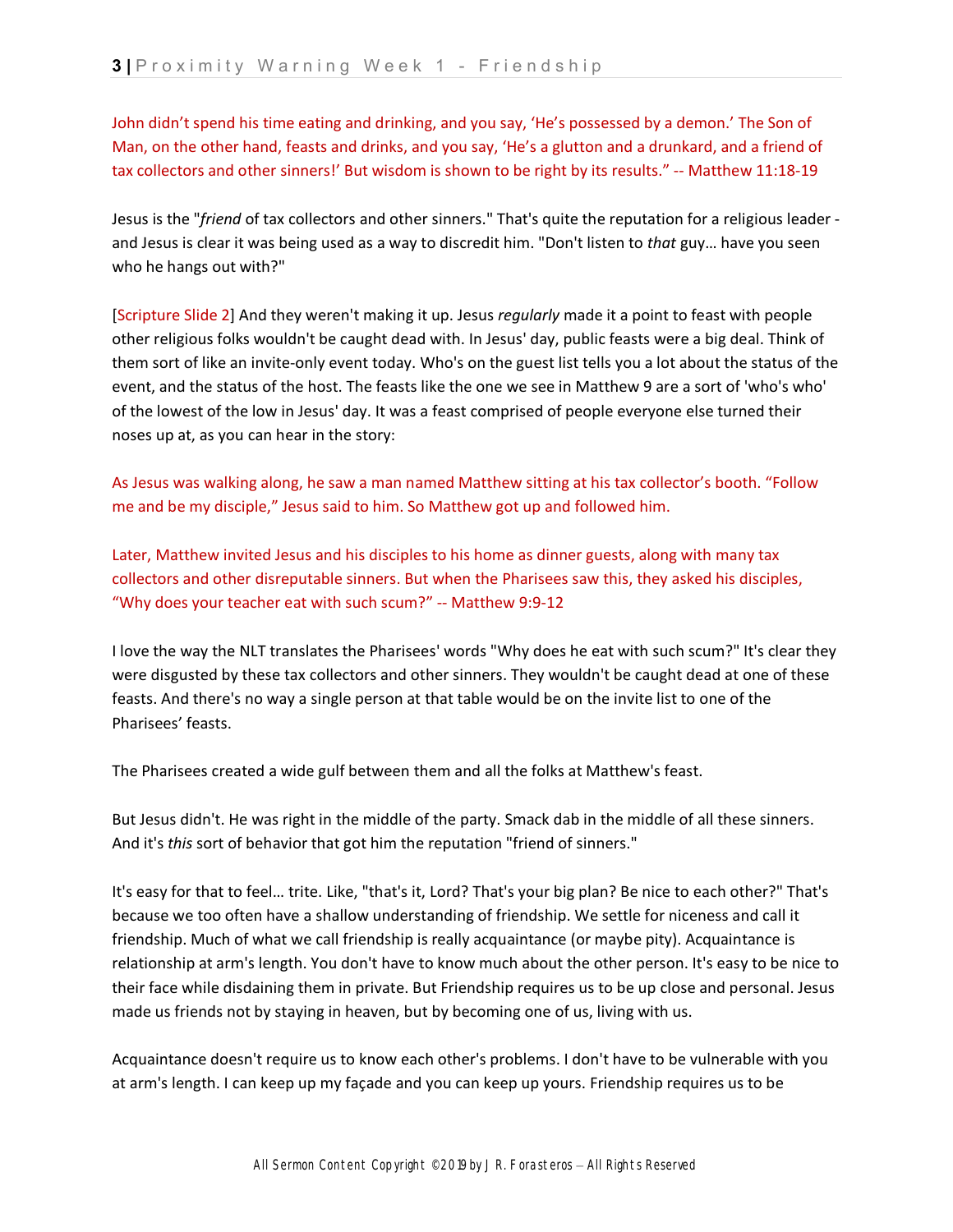John didn't spend his time eating and drinking, and you say, 'He's possessed by a demon.' The Son of Man, on the other hand, feasts and drinks, and you say, 'He's a glutton and a drunkard, and a friend of tax collectors and other sinners!' But wisdom is shown to be right by its results." -- Matthew 11:18-19

Jesus is the "*friend* of tax collectors and other sinners." That's quite the reputation for a religious leader and Jesus is clear it was being used as a way to discredit him. "Don't listen to *that* guy… have you seen who he hangs out with?"

[Scripture Slide 2] And they weren't making it up. Jesus *regularly* made it a point to feast with people other religious folks wouldn't be caught dead with. In Jesus' day, public feasts were a big deal. Think of them sort of like an invite-only event today. Who's on the guest list tells you a lot about the status of the event, and the status of the host. The feasts like the one we see in Matthew 9 are a sort of 'who's who' of the lowest of the low in Jesus' day. It was a feast comprised of people everyone else turned their noses up at, as you can hear in the story:

As Jesus was walking along, he saw a man named Matthew sitting at his tax collector's booth. "Follow me and be my disciple," Jesus said to him. So Matthew got up and followed him.

Later, Matthew invited Jesus and his disciples to his home as dinner guests, along with many tax collectors and other disreputable sinners. But when the Pharisees saw this, they asked his disciples, "Why does your teacher eat with such scum?" -- Matthew 9:9-12

I love the way the NLT translates the Pharisees' words "Why does he eat with such scum?" It's clear they were disgusted by these tax collectors and other sinners. They wouldn't be caught dead at one of these feasts. And there's no way a single person at that table would be on the invite list to one of the Pharisees' feasts.

The Pharisees created a wide gulf between them and all the folks at Matthew's feast.

But Jesus didn't. He was right in the middle of the party. Smack dab in the middle of all these sinners. And it's *this* sort of behavior that got him the reputation "friend of sinners."

It's easy for that to feel… trite. Like, "that's it, Lord? That's your big plan? Be nice to each other?" That's because we too often have a shallow understanding of friendship. We settle for niceness and call it friendship. Much of what we call friendship is really acquaintance (or maybe pity). Acquaintance is relationship at arm's length. You don't have to know much about the other person. It's easy to be nice to their face while disdaining them in private. But Friendship requires us to be up close and personal. Jesus made us friends not by staying in heaven, but by becoming one of us, living with us.

Acquaintance doesn't require us to know each other's problems. I don't have to be vulnerable with you at arm's length. I can keep up my façade and you can keep up yours. Friendship requires us to be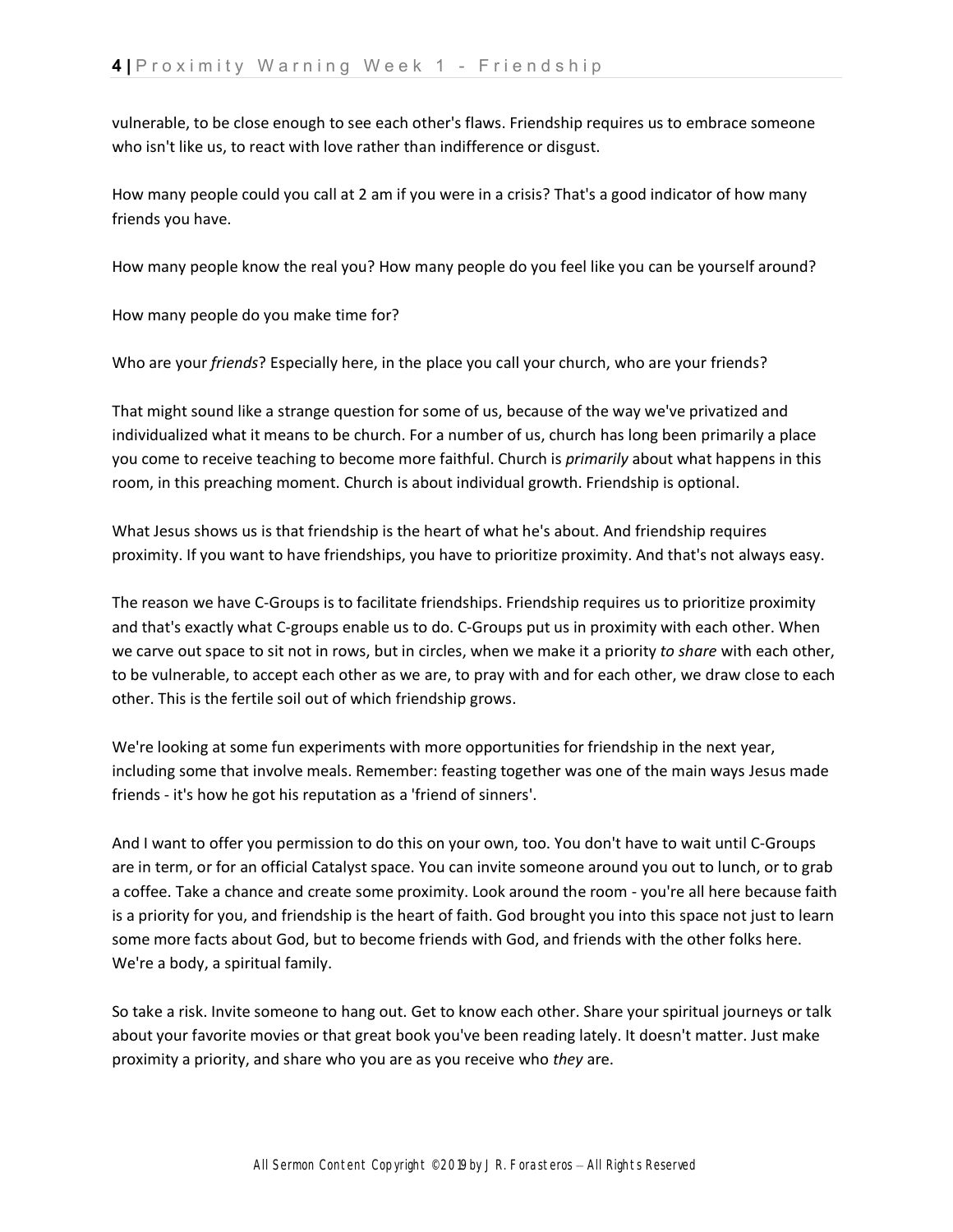vulnerable, to be close enough to see each other's flaws. Friendship requires us to embrace someone who isn't like us, to react with love rather than indifference or disgust.

How many people could you call at 2 am if you were in a crisis? That's a good indicator of how many friends you have.

How many people know the real you? How many people do you feel like you can be yourself around?

How many people do you make time for?

Who are your *friends*? Especially here, in the place you call your church, who are your friends?

That might sound like a strange question for some of us, because of the way we've privatized and individualized what it means to be church. For a number of us, church has long been primarily a place you come to receive teaching to become more faithful. Church is *primarily* about what happens in this room, in this preaching moment. Church is about individual growth. Friendship is optional.

What Jesus shows us is that friendship is the heart of what he's about. And friendship requires proximity. If you want to have friendships, you have to prioritize proximity. And that's not always easy.

The reason we have C-Groups is to facilitate friendships. Friendship requires us to prioritize proximity and that's exactly what C-groups enable us to do. C-Groups put us in proximity with each other. When we carve out space to sit not in rows, but in circles, when we make it a priority *to share* with each other, to be vulnerable, to accept each other as we are, to pray with and for each other, we draw close to each other. This is the fertile soil out of which friendship grows.

We're looking at some fun experiments with more opportunities for friendship in the next year, including some that involve meals. Remember: feasting together was one of the main ways Jesus made friends - it's how he got his reputation as a 'friend of sinners'.

And I want to offer you permission to do this on your own, too. You don't have to wait until C-Groups are in term, or for an official Catalyst space. You can invite someone around you out to lunch, or to grab a coffee. Take a chance and create some proximity. Look around the room - you're all here because faith is a priority for you, and friendship is the heart of faith. God brought you into this space not just to learn some more facts about God, but to become friends with God, and friends with the other folks here. We're a body, a spiritual family.

So take a risk. Invite someone to hang out. Get to know each other. Share your spiritual journeys or talk about your favorite movies or that great book you've been reading lately. It doesn't matter. Just make proximity a priority, and share who you are as you receive who *they* are.